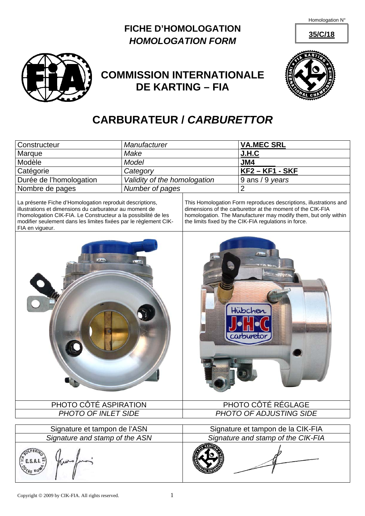Homologation N°





## **COMMISSION INTERNATIONALE DE KARTING – FIA**



## **CARBURATEUR /** *CARBURETTOR*

| Constructeur                                                                                                                                                                                                                                                                  | Manufacturer                 |                                                                                                                                                                                                                                                             | <b>VA.MEC SRL</b>  |
|-------------------------------------------------------------------------------------------------------------------------------------------------------------------------------------------------------------------------------------------------------------------------------|------------------------------|-------------------------------------------------------------------------------------------------------------------------------------------------------------------------------------------------------------------------------------------------------------|--------------------|
| Marque                                                                                                                                                                                                                                                                        | Make                         |                                                                                                                                                                                                                                                             | J.H.C              |
| Modèle                                                                                                                                                                                                                                                                        | <b>Model</b>                 |                                                                                                                                                                                                                                                             | JM4                |
| Catégorie                                                                                                                                                                                                                                                                     | Category                     |                                                                                                                                                                                                                                                             | <b>KF2-KF1-SKF</b> |
| Durée de l'homologation                                                                                                                                                                                                                                                       | Validity of the homologation |                                                                                                                                                                                                                                                             | 9 ans / 9 years    |
| Nombre de pages                                                                                                                                                                                                                                                               | Number of pages              |                                                                                                                                                                                                                                                             | $\overline{2}$     |
| La présente Fiche d'Homologation reproduit descriptions,<br>illustrations et dimensions du carburateur au moment de<br>l'homologation CIK-FIA. Le Constructeur a la possibilité de les<br>modifier seulement dans les limites fixées par le règlement CIK-<br>FIA en vigueur. |                              | This Homologation Form reproduces descriptions, illustrations and<br>dimensions of the carburettor at the moment of the CIK-FIA<br>homologation. The Manufacturer may modify them, but only within<br>the limits fixed by the CIK-FIA regulations in force. |                    |
|                                                                                                                                                                                                                                                                               |                              | Hübchen<br>carbureto                                                                                                                                                                                                                                        |                    |
| PHOTO CÔTÉ ASPIRATION                                                                                                                                                                                                                                                         |                              | PHOTO CÔTÉ RÉGLAGE                                                                                                                                                                                                                                          |                    |
| <b>PHOTO OF INLET SIDE</b>                                                                                                                                                                                                                                                    |                              | <b>PHOTO OF ADJUSTING SIDE</b>                                                                                                                                                                                                                              |                    |
| Signature et tampon de l'ASN                                                                                                                                                                                                                                                  |                              | Signature et tampon de la CIK-FIA                                                                                                                                                                                                                           |                    |
| Signature and stamp of the ASN                                                                                                                                                                                                                                                |                              | Signature and stamp of the CIK-FIA                                                                                                                                                                                                                          |                    |
|                                                                                                                                                                                                                                                                               |                              |                                                                                                                                                                                                                                                             |                    |